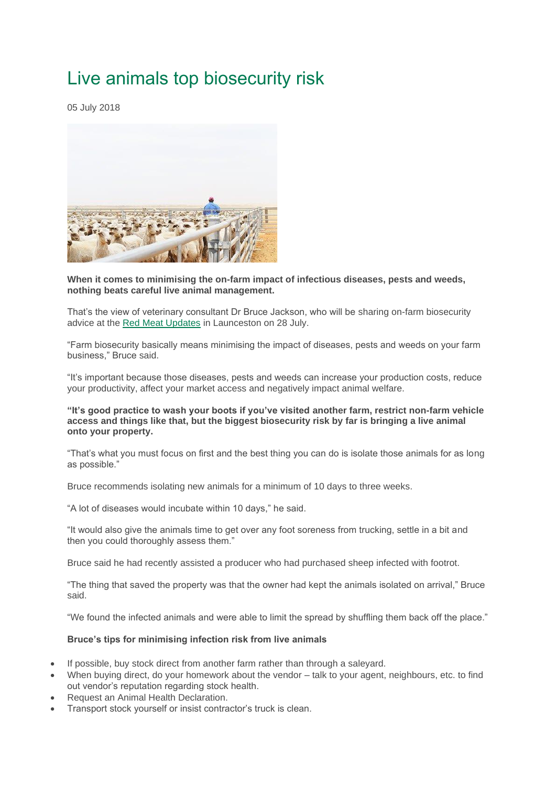## Live animals top biosecurity risk

05 July 2018



**When it comes to minimising the on-farm impact of infectious diseases, pests and weeds, nothing beats careful live animal management.**

That's the view of veterinary consultant Dr Bruce Jackson, who will be sharing on-farm biosecurity advice at the [Red Meat Updates](https://redmeatupdates.com/) in Launceston on 28 July.

"Farm biosecurity basically means minimising the impact of diseases, pests and weeds on your farm business," Bruce said.

"It's important because those diseases, pests and weeds can increase your production costs, reduce your productivity, affect your market access and negatively impact animal welfare.

## **"It's good practice to wash your boots if you've visited another farm, restrict non-farm vehicle access and things like that, but the biggest biosecurity risk by far is bringing a live animal onto your property.**

"That's what you must focus on first and the best thing you can do is isolate those animals for as long as possible."

Bruce recommends isolating new animals for a minimum of 10 days to three weeks.

"A lot of diseases would incubate within 10 days," he said.

"It would also give the animals time to get over any foot soreness from trucking, settle in a bit and then you could thoroughly assess them."

Bruce said he had recently assisted a producer who had purchased sheep infected with footrot.

"The thing that saved the property was that the owner had kept the animals isolated on arrival," Bruce said.

"We found the infected animals and were able to limit the spread by shuffling them back off the place."

## **Bruce's tips for minimising infection risk from live animals**

- If possible, buy stock direct from another farm rather than through a saleyard.
- When buying direct, do your homework about the vendor talk to your agent, neighbours, etc. to find out vendor's reputation regarding stock health.
- Request an Animal Health Declaration.
- Transport stock yourself or insist contractor's truck is clean.